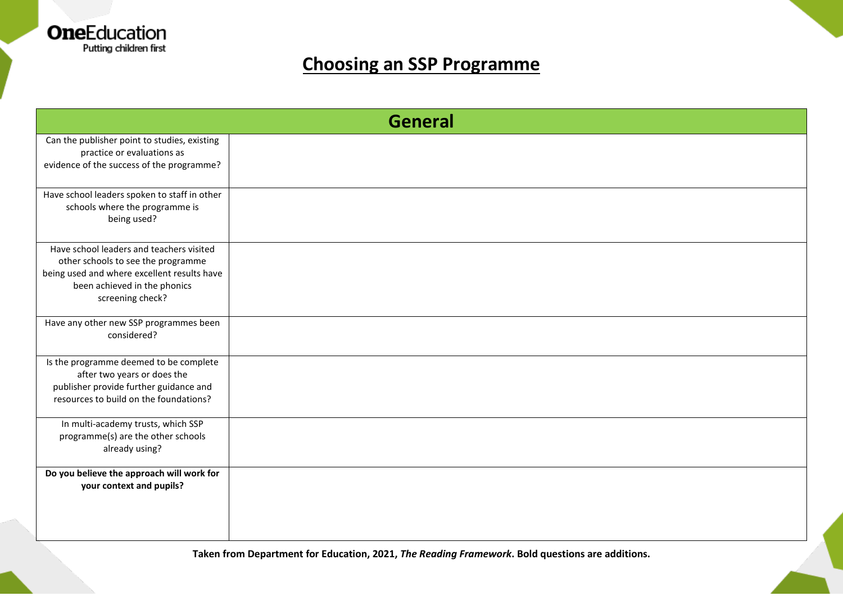

| <b>General</b>                                                                                                                                                                    |  |  |
|-----------------------------------------------------------------------------------------------------------------------------------------------------------------------------------|--|--|
| Can the publisher point to studies, existing<br>practice or evaluations as<br>evidence of the success of the programme?                                                           |  |  |
| Have school leaders spoken to staff in other<br>schools where the programme is<br>being used?                                                                                     |  |  |
| Have school leaders and teachers visited<br>other schools to see the programme<br>being used and where excellent results have<br>been achieved in the phonics<br>screening check? |  |  |
| Have any other new SSP programmes been<br>considered?                                                                                                                             |  |  |
| Is the programme deemed to be complete<br>after two years or does the<br>publisher provide further guidance and<br>resources to build on the foundations?                         |  |  |
| In multi-academy trusts, which SSP<br>programme(s) are the other schools<br>already using?                                                                                        |  |  |
| Do you believe the approach will work for<br>your context and pupils?                                                                                                             |  |  |

**Taken from Department for Education, 2021,** *The Reading Framework***. Bold questions are additions.**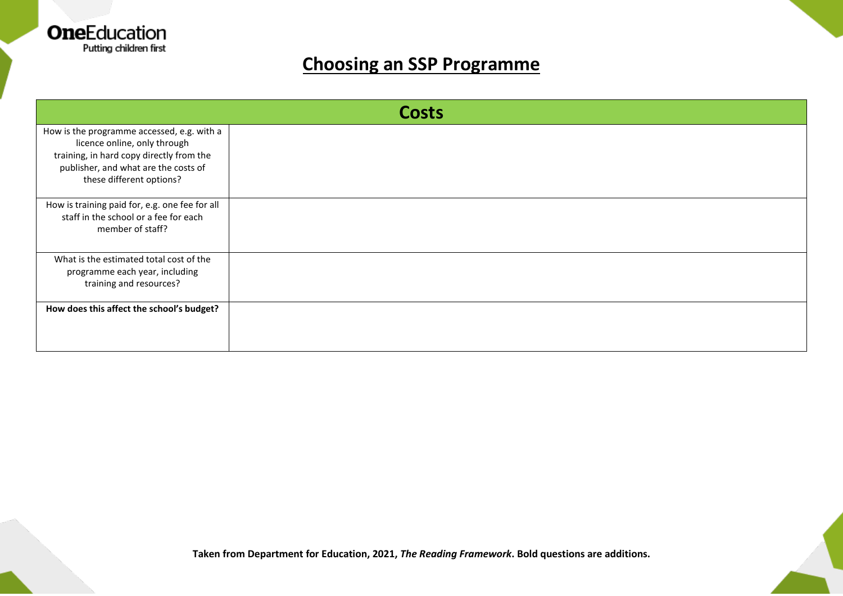

| <b>Costs</b>                                                                                                                                                                               |  |  |
|--------------------------------------------------------------------------------------------------------------------------------------------------------------------------------------------|--|--|
| How is the programme accessed, e.g. with a<br>licence online, only through<br>training, in hard copy directly from the<br>publisher, and what are the costs of<br>these different options? |  |  |
| How is training paid for, e.g. one fee for all<br>staff in the school or a fee for each<br>member of staff?                                                                                |  |  |
| What is the estimated total cost of the<br>programme each year, including<br>training and resources?                                                                                       |  |  |
| How does this affect the school's budget?                                                                                                                                                  |  |  |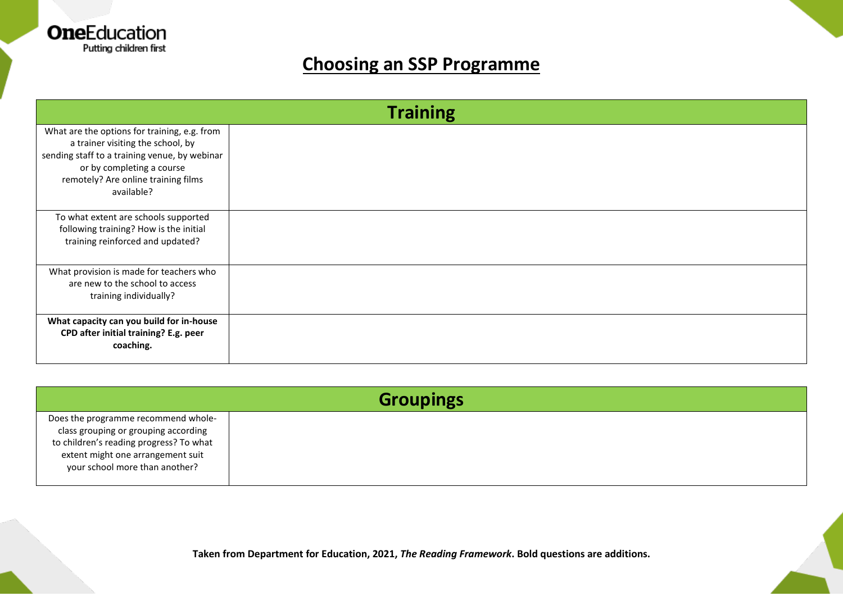

| <b>Training</b>                                                                                                                                                                                                      |  |  |
|----------------------------------------------------------------------------------------------------------------------------------------------------------------------------------------------------------------------|--|--|
| What are the options for training, e.g. from<br>a trainer visiting the school, by<br>sending staff to a training venue, by webinar<br>or by completing a course<br>remotely? Are online training films<br>available? |  |  |
| To what extent are schools supported<br>following training? How is the initial<br>training reinforced and updated?                                                                                                   |  |  |
| What provision is made for teachers who<br>are new to the school to access<br>training individually?                                                                                                                 |  |  |
| What capacity can you build for in-house<br>CPD after initial training? E.g. peer<br>coaching.                                                                                                                       |  |  |

| <b>Groupings</b>                                                                                                                                                                              |  |  |
|-----------------------------------------------------------------------------------------------------------------------------------------------------------------------------------------------|--|--|
| Does the programme recommend whole-<br>class grouping or grouping according<br>to children's reading progress? To what<br>extent might one arrangement suit<br>your school more than another? |  |  |

**Taken from Department for Education, 2021,** *The Reading Framework***. Bold questions are additions.**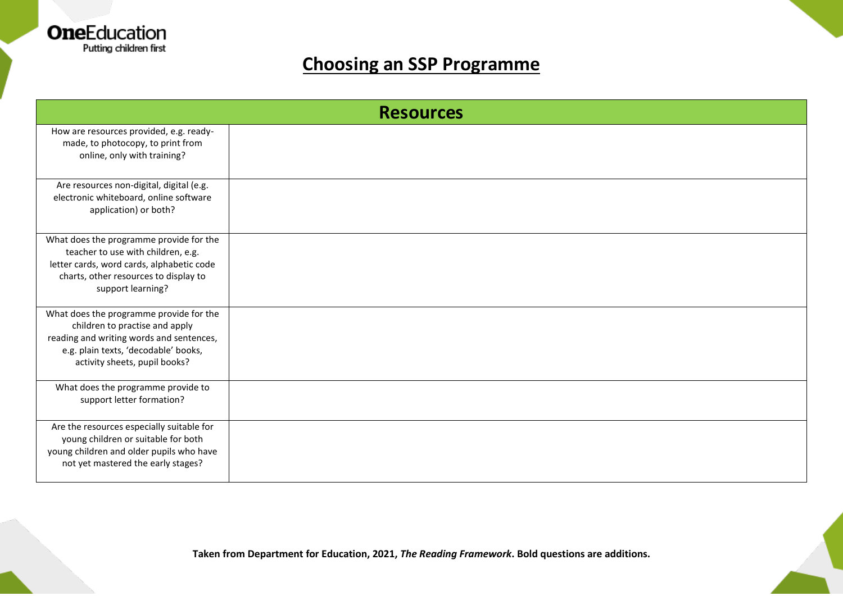

| <b>Resources</b>                                                                                                                                                                               |  |  |
|------------------------------------------------------------------------------------------------------------------------------------------------------------------------------------------------|--|--|
| How are resources provided, e.g. ready-<br>made, to photocopy, to print from<br>online, only with training?                                                                                    |  |  |
| Are resources non-digital, digital (e.g.<br>electronic whiteboard, online software<br>application) or both?                                                                                    |  |  |
| What does the programme provide for the<br>teacher to use with children, e.g.<br>letter cards, word cards, alphabetic code<br>charts, other resources to display to<br>support learning?       |  |  |
| What does the programme provide for the<br>children to practise and apply<br>reading and writing words and sentences,<br>e.g. plain texts, 'decodable' books,<br>activity sheets, pupil books? |  |  |
| What does the programme provide to<br>support letter formation?                                                                                                                                |  |  |
| Are the resources especially suitable for<br>young children or suitable for both<br>young children and older pupils who have<br>not yet mastered the early stages?                             |  |  |